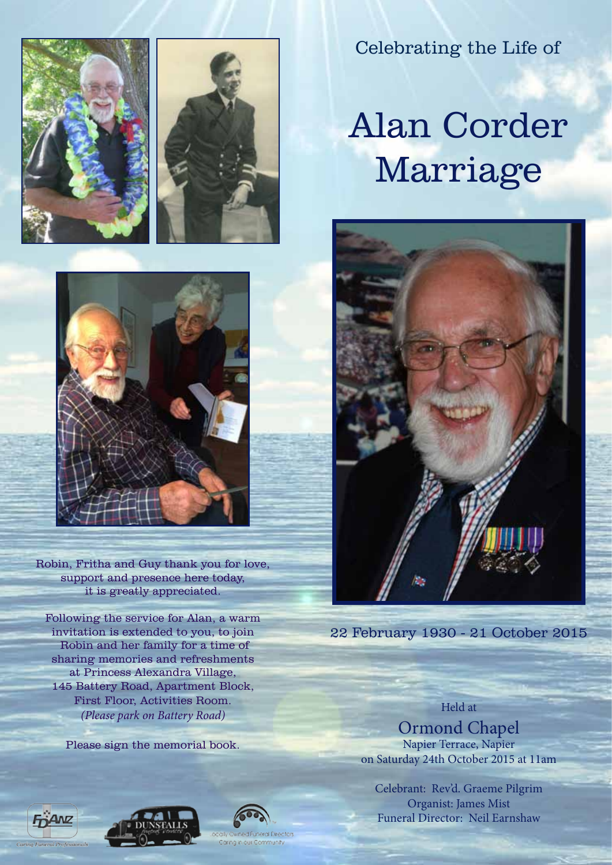

Robin, Fritha and Guy thank you for love, support and presence here today, it is greatly appreciated.

Following the service for Alan, a warm invitation is extended to you, to join Robin and her family for a time of sharing memories and refreshments at Princess Alexandra Village, 145 Battery Road, Apartment Block, First Floor, Activities Room. *(Please park on Battery Road)*

Please sign the memorial book.



Celebrating the Life of

# Alan Corder Marriage



22 February 1930 - 21 October 2015

Held at Ormond Chapel

Napier Terrace, Napier on Saturday 24th October 2015 at 11am

Celebrant: Rev'd. Graeme Pilgrim Organist: James Mist Funeral Director: Neil Earnshaw